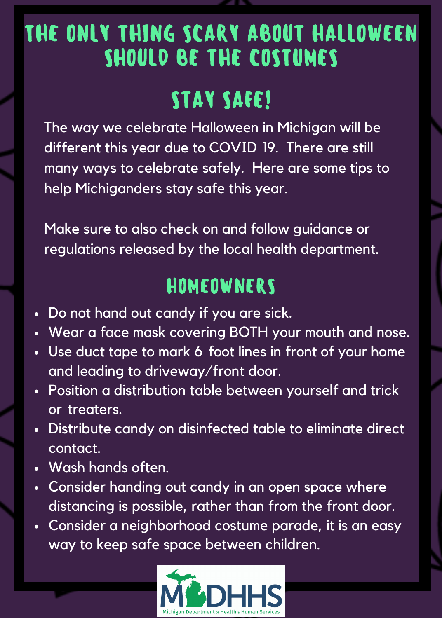## THE ONLY THING SCARY ABOUT HALLOWEEN SHOULD BE THE COSTUMES

# STAY SAFE!

 The way we celebrate Halloween in Michigan will be different this year due to COVID 19. There are still many ways to celebrate safely. Here are some tips to help Michiganders stay safe this year. e way we celebr<br>ferent this year<br>iny ways to celel<br>p Michiganders<br>ske sure to also c<br>gulations release<br>o gulations release<br>o pot hand out co<br>jear a face mask<br>se duct tape to m<br>od leading to driv<br>sition a distribut<br>treaters rent this year due to COVID<br>
y ways to celebrate safely. H<br>
Michiganders stay safe this y<br>
e sure to also check on and fo<br>
dations released by the local h<br> **HOMEOWNER**<br>
ot hand out candy if you are<br>
ur a face mask covering THE ONLY THING SCARY ABOUT HALLOWEEN<br>
SHOULD BE THE COSTUMES<br>
TAY SAFE!<br>
The way we celebrate Halloween in Michigan will be<br>
different this year due to COVID 19. There are still<br>
many ways to celebrate safely. Here are som

 Make sure to also check on and follow guidance or regulations released by the local health department.

### HOMEOWNERS

- Do not hand out candy if you are sick.
- Wear a face mask covering BOTH your mouth and nose.
- - Use duct tape to mark 6 foot lines in front of your home and leading to driveway/front door.
- - Position a distribution table between yourself and trick or treaters.
- Distribute candy on disinfected table to eliminate direct contact.
- Wash hands often.
- Consider handing out candy in an open space where distancing is possible, rather than from the front door.
- Consider a neighborhood costume parade, it is an easy way to keep safe space between children.

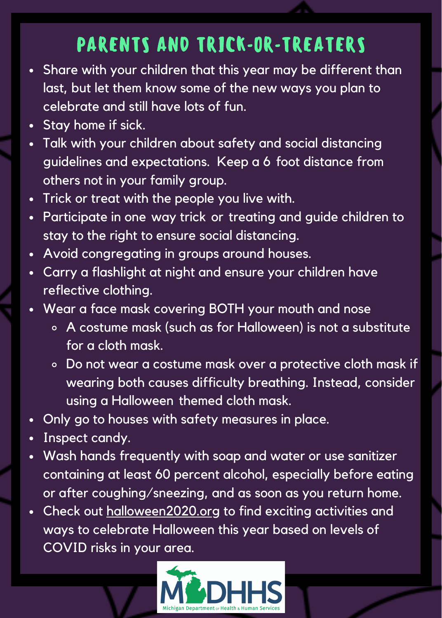### PARENTS AND TRICK-OR-TREATERS

- Share with your children that this year may be different than last, but let them know some of the new ways you plan to celebrate and still have lots of fun.
- Stay home if sick.
- Talk with your children about safety and social distancing guidelines and expectations. Keep a 6 foot distance from others not in your family group. re with your child<br>but let them knc<br>brate and still ho<br>v home if sick.<br>with your childre<br>lelines and expect<br>lelines and expect<br>or store from the side congregating<br>id congregating<br>y a flashlight at<br>ective clothing.
- Trick or treat with the people you live with.
- Participate in one way trick or treating and guide children to stay to the right to ensure social distancing.
- Avoid congregating in groups around houses.
- Carry a flashlight at night and ensure your children have reflective clothing.
- Wear a face mask covering BOTH your mouth and nose
	- A costume mask (such as for Halloween) is not a substitute for a cloth mask.
	- Do not wear a costume mask over a protective cloth mask if wearing both causes difficulty breathing. Instead, consider - using a Halloween themed cloth mask. r a face<br>A costun<br>ior a clot<br>Do not w<br>wearing<br>sing a H<br>go to he<br>ect canc
- Only go to houses with safety measures in place.
- Inspect candy.
- Wash hands frequently with soap and water or use sanitizer containing at least 60 percent alcohol, especially before eating or after coughing/sneezing, and as soon as you return home. Wash hands frequently with soap and water or use sanitize<br>containing at least 60 percent alcohol, especially before eat<br>or after coughing/sneezing, and as soon as you return hom<br>Check out <u>[halloween2020.org](http://halloween2020.org/)</u> to find exciti
- ways to celebrate Halloween this year based on levels of COVID risks in your area.lines and expectations. Keep a 6<br>s not in your family group.<br>or treat with the people you live w<br>cipate in one way trick or treating<br>to the right to ensure social distanc<br>d congregating in groups around h<br>v a flashlight at